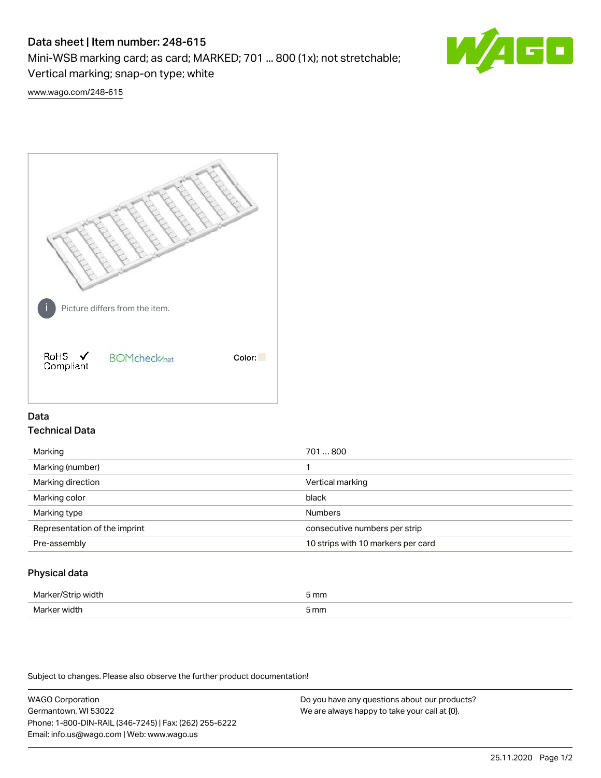# Data sheet | Item number: 248-615

Mini-WSB marking card; as card; MARKED; 701 ... 800 (1x); not stretchable;

Vertical marking; snap-on type; white

60

[www.wago.com/248-615](http://www.wago.com/248-615)



## Data Technical Data

| Marking                       | 701800                             |
|-------------------------------|------------------------------------|
| Marking (number)              |                                    |
| Marking direction             | Vertical marking                   |
| Marking color                 | black                              |
| Marking type                  | <b>Numbers</b>                     |
| Representation of the imprint | consecutive numbers per strip      |
| Pre-assembly                  | 10 strips with 10 markers per card |
|                               |                                    |

## Physical data

| Mar                      | 5 mm |
|--------------------------|------|
| M <sub>cr</sub><br>width | 5 mm |

Subject to changes. Please also observe the further product documentation!

WAGO Corporation Germantown, WI 53022 Phone: 1-800-DIN-RAIL (346-7245) | Fax: (262) 255-6222 Email: info.us@wago.com | Web: www.wago.us Do you have any questions about our products? We are always happy to take your call at {0}.